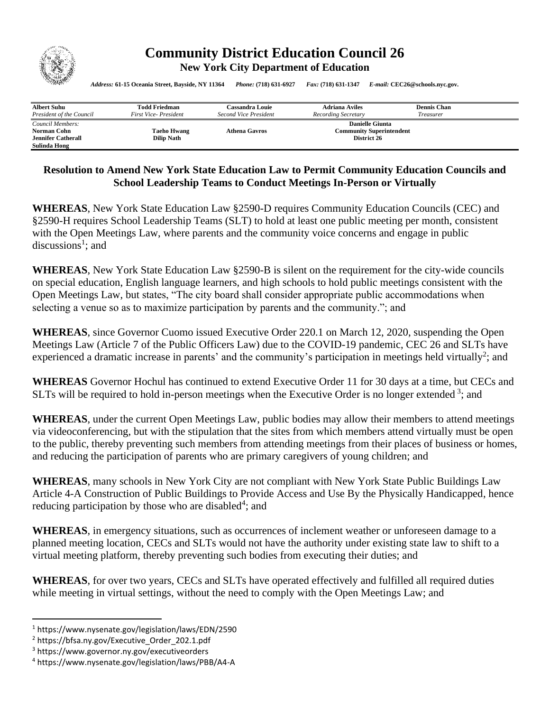

## **Community District Education Council 26 New York City Department of Education**

*Address:* **61-15 Oceania Street, Bayside, NY 11364** *Phone:* **(718) 631-6927** *Fax:* **(718) 631-1347** *E-mail:* **CEC26@schools.nyc.gov.**

| <b>Albert Suhu</b>        | Todd Friedman        | Cassandra Louie        | <b>Adriana Aviles</b>           | <b>Dennis Chan</b> |
|---------------------------|----------------------|------------------------|---------------------------------|--------------------|
| President of the Council  | First Vice-President | Second Vice President  | Recording Secretary             | Treasurer          |
| Council Members:          |                      | <b>Danielle Giunta</b> |                                 |                    |
| Norman Cohn               | <b>Taeho Hwang</b>   | <b>Athena Gavros</b>   | <b>Community Superintendent</b> |                    |
| <b>Jennifer Catherall</b> | <b>Dilip Nath</b>    |                        | District 26                     |                    |
| Sulinda Hong              |                      |                        |                                 |                    |

## **Resolution to Amend New York State Education Law to Permit Community Education Councils and School Leadership Teams to Conduct Meetings In-Person or Virtually**

**WHEREAS**, New York State Education Law §2590-D requires Community Education Councils (CEC) and §2590-H requires School Leadership Teams (SLT) to hold at least one public meeting per month, consistent with the Open Meetings Law, where parents and the community voice concerns and engage in public discussions<sup>1</sup>; and

**WHEREAS**, New York State Education Law §2590-B is silent on the requirement for the city-wide councils on special education, English language learners, and high schools to hold public meetings consistent with the Open Meetings Law, but states, "The city board shall consider appropriate public accommodations when selecting a venue so as to maximize participation by parents and the community."; and

**WHEREAS**, since Governor Cuomo issued Executive Order 220.1 on March 12, 2020, suspending the Open Meetings Law (Article 7 of the Public Officers Law) due to the COVID-19 pandemic, CEC 26 and SLTs have experienced a dramatic increase in parents' and the community's participation in meetings held virtually<sup>2</sup>; and

**WHEREAS** Governor Hochul has continued to extend Executive Order 11 for 30 days at a time, but CECs and SLTs will be required to hold in-person meetings when the Executive Order is no longer extended  $3$ ; and

**WHEREAS**, under the current Open Meetings Law, public bodies may allow their members to attend meetings via videoconferencing, but with the stipulation that the sites from which members attend virtually must be open to the public, thereby preventing such members from attending meetings from their places of business or homes, and reducing the participation of parents who are primary caregivers of young children; and

**WHEREAS**, many schools in New York City are not compliant with New York State Public Buildings Law Article 4-A Construction of Public Buildings to Provide Access and Use By the Physically Handicapped, hence reducing participation by those who are disabled<sup>4</sup>; and

**WHEREAS**, in emergency situations, such as occurrences of inclement weather or unforeseen damage to a planned meeting location, CECs and SLTs would not have the authority under existing state law to shift to a virtual meeting platform, thereby preventing such bodies from executing their duties; and

**WHEREAS**, for over two years, CECs and SLTs have operated effectively and fulfilled all required duties while meeting in virtual settings, without the need to comply with the Open Meetings Law; and

<sup>1</sup> https://www.nysenate.gov/legislation/laws/EDN/2590

<sup>2</sup> https://bfsa.ny.gov/Executive\_Order\_202.1.pdf

<sup>3</sup> https://www.governor.ny.gov/executiveorders

<sup>4</sup> https://www.nysenate.gov/legislation/laws/PBB/A4-A